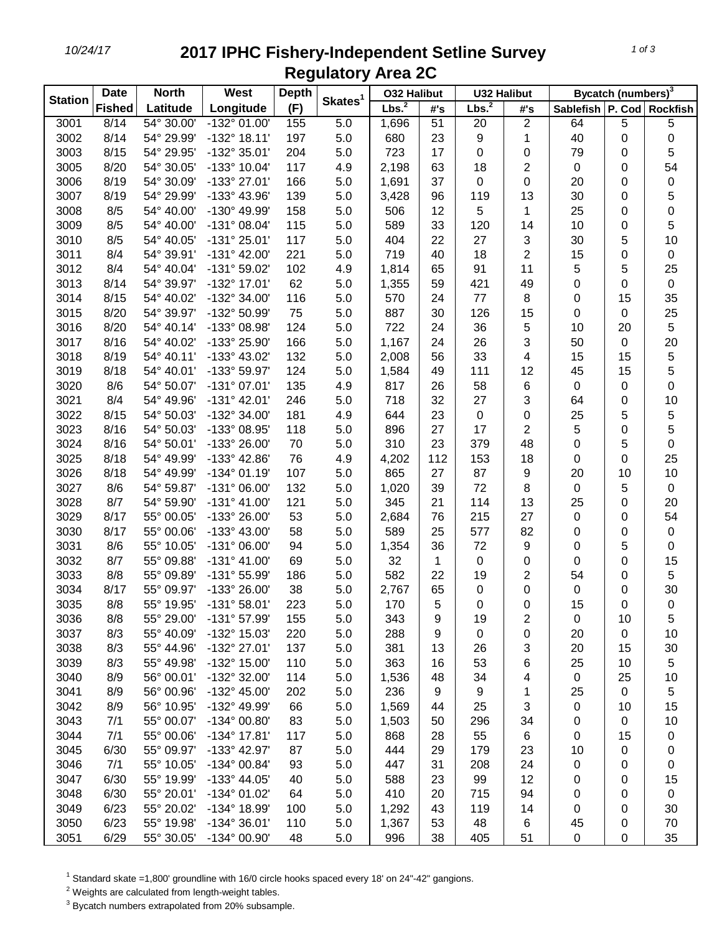## *10/24/17* **2017 IPHC Fishery-Independent Setline Survey Regulatory Area 2C**

| <b>Station</b> | <b>Date</b>   | <b>North</b> | West                  | <b>Depth</b> | Skates <sup>1</sup> | <b>032 Halibut</b> |     | <b>U32 Halibut</b> |                | Bycatch (numbers) <sup>3</sup> |    |           |
|----------------|---------------|--------------|-----------------------|--------------|---------------------|--------------------|-----|--------------------|----------------|--------------------------------|----|-----------|
|                | <b>Fished</b> | Latitude     | Longitude             | (F)          |                     | Lbs. <sup>2</sup>  | #'s | Lbs. <sup>2</sup>  | #'s            | Sablefish   P. Cod   Rockfish  |    |           |
| 3001           | 8/14          | 54° 30.00'   | -132° 01.00'          | 155          | 5.0                 | 1,696              | 51  | 20                 | $\overline{2}$ | 64                             | 5  | 5         |
| 3002           | 8/14          | 54° 29.99'   | $-132^{\circ}$ 18.11' | 197          | 5.0                 | 680                | 23  | 9                  | 1              | 40                             | 0  | 0         |
| 3003           | 8/15          | 54° 29.95'   | -132° 35.01'          | 204          | 5.0                 | 723                | 17  | 0                  | 0              | 79                             | 0  | 5         |
| 3005           | 8/20          | 54° 30.05'   | -133° 10.04'          | 117          | 4.9                 | 2,198              | 63  | 18                 | 2              | $\boldsymbol{0}$               | 0  | 54        |
| 3006           | 8/19          | 54° 30.09'   | -133° 27.01'          | 166          | 5.0                 | 1,691              | 37  | 0                  | 0              | 20                             | 0  | 0         |
| 3007           | 8/19          | 54° 29.99'   | -133° 43.96'          | 139          | 5.0                 | 3,428              | 96  | 119                | 13             | 30                             | 0  | 5         |
| 3008           | 8/5           | 54° 40.00'   | -130° 49.99'          | 158          | 5.0                 | 506                | 12  | 5                  | 1              | 25                             | 0  | 0         |
| 3009           | 8/5           | 54° 40.00'   | $-131^{\circ}$ 08.04' | 115          | 5.0                 | 589                | 33  | 120                | 14             | 10                             | 0  | 5         |
| 3010           | 8/5           | 54° 40.05'   | $-131°25.01'$         | 117          | 5.0                 | 404                | 22  | 27                 | 3              | 30                             | 5  | 10        |
| 3011           | 8/4           | 54° 39.91'   | $-131^{\circ}$ 42.00' | 221          | 5.0                 | 719                | 40  | 18                 | $\overline{2}$ | 15                             | 0  | $\pmb{0}$ |
| 3012           | 8/4           | 54° 40.04'   | -131° 59.02'          | 102          | 4.9                 | 1,814              | 65  | 91                 | 11             | 5                              | 5  | 25        |
| 3013           | 8/14          | 54° 39.97'   | -132° 17.01'          | 62           | 5.0                 | 1,355              | 59  | 421                | 49             | 0                              | 0  | $\pmb{0}$ |
| 3014           | 8/15          | 54° 40.02'   | -132° 34.00'          | 116          | 5.0                 | 570                | 24  | 77                 | 8              | 0                              | 15 | 35        |
| 3015           | 8/20          | 54° 39.97'   | -132° 50.99'          | 75           | 5.0                 | 887                | 30  | 126                | 15             | 0                              | 0  | 25        |
| 3016           | 8/20          | 54° 40.14'   | -133° 08.98'          | 124          | 5.0                 | 722                | 24  | 36                 | 5              | 10                             | 20 | 5         |
| 3017           | 8/16          | 54° 40.02'   | -133° 25.90'          | 166          | 5.0                 | 1,167              | 24  | 26                 | 3              | 50                             | 0  | 20        |
| 3018           | 8/19          | 54° 40.11'   | -133° 43.02'          | 132          | 5.0                 | 2,008              | 56  | 33                 | 4              | 15                             | 15 | 5         |
| 3019           | 8/18          | 54° 40.01'   | -133° 59.97'          | 124          | 5.0                 | 1,584              | 49  | 111                | 12             | 45                             | 15 | 5         |
| 3020           | 8/6           | 54° 50.07'   | $-131°07.01'$         | 135          | 4.9                 | 817                | 26  | 58                 | 6              | $\boldsymbol{0}$               | 0  | 0         |
| 3021           | 8/4           | 54° 49.96'   | $-131^{\circ}$ 42.01' | 246          | 5.0                 | 718                | 32  | 27                 | 3              | 64                             | 0  | 10        |
| 3022           | 8/15          | 54° 50.03'   | -132° 34.00'          | 181          | 4.9                 | 644                | 23  | 0                  | 0              | 25                             | 5  | 5         |
| 3023           | 8/16          | 54° 50.03'   | -133° 08.95'          | 118          | 5.0                 | 896                | 27  | 17                 | $\overline{2}$ | 5                              | 0  | 5         |
| 3024           | 8/16          | 54° 50.01'   | -133° 26.00'          | 70           | 5.0                 | 310                | 23  | 379                | 48             | 0                              | 5  | 0         |
| 3025           | 8/18          | 54° 49.99'   | -133° 42.86'          | 76           | 4.9                 | 4,202              | 112 | 153                | 18             | 0                              | 0  | 25        |
| 3026           | 8/18          | 54° 49.99'   | $-134^{\circ}$ 01.19' | 107          | 5.0                 | 865                | 27  | 87                 | 9              | 20                             | 10 | 10        |
| 3027           | 8/6           | 54° 59.87'   | $-131^{\circ}$ 06.00' | 132          | 5.0                 | 1,020              | 39  | 72                 | 8              | $\pmb{0}$                      | 5  | $\pmb{0}$ |
| 3028           | 8/7           | 54° 59.90'   | $-131^{\circ}$ 41.00' | 121          | 5.0                 | 345                | 21  | 114                | 13             | 25                             | 0  | 20        |
| 3029           | 8/17          | 55° 00.05'   | -133° 26.00'          | 53           | 5.0                 | 2,684              | 76  | 215                | 27             | $\pmb{0}$                      | 0  | 54        |
| 3030           | 8/17          | 55° 00.06'   | -133° 43.00'          | 58           | 5.0                 | 589                | 25  | 577                | 82             | 0                              | 0  | $\pmb{0}$ |
| 3031           | 8/6           | 55° 10.05'   | $-131°06.00'$         | 94           | 5.0                 | 1,354              | 36  | 72                 | 9              | 0                              | 5  | 0         |
| 3032           | 8/7           | 55° 09.88'   | $-131° 41.00'$        | 69           | 5.0                 | 32                 | 1   | 0                  | 0              | 0                              | 0  | 15        |
| 3033           | 8/8           | 55° 09.89'   | -131° 55.99'          | 186          | 5.0                 | 582                | 22  | 19                 | $\overline{2}$ | 54                             | 0  | 5         |
| 3034           | 8/17          | 55° 09.97'   | -133° 26.00'          | 38           | 5.0                 | 2,767              | 65  | 0                  | 0              | 0                              | 0  | 30        |
| 3035           | 8/8           | 55° 19.95'   | $-131°58.01'$         | 223          | 5.0                 | 170                | 5   | 0                  | 0              | 15                             | 0  | $\pmb{0}$ |
| 3036           | 8/8           | 55° 29.00'   | -131° 57.99'          | 155          | 5.0                 | 343                | 9   | 19                 | 2              | 0                              | 10 | 5         |
| 3037           | 8/3           | 55° 40.09'   | -132° 15.03'          | 220          | 5.0                 | 288                | 9   | 0                  | 0              | 20                             | 0  | 10        |
| 3038           | 8/3           | 55° 44.96'   | -132° 27.01'          | 137          | 5.0                 | 381                | 13  | 26                 | 3              | 20                             | 15 | 30        |
| 3039           | 8/3           | 55° 49.98'   | -132° 15.00'          | 110          | 5.0                 | 363                | 16  | 53                 | 6              | 25                             | 10 | 5         |
| 3040           | 8/9           | 56° 00.01'   | -132° 32.00'          | 114          | 5.0                 | 1,536              | 48  | 34                 | 4              | $\pmb{0}$                      | 25 | 10        |
| 3041           | 8/9           | 56° 00.96'   | -132° 45.00'          | 202          | 5.0                 | 236                | 9   | 9                  | 1              | 25                             | 0  | 5         |
| 3042           | 8/9           | 56° 10.95'   | -132° 49.99'          | 66           | 5.0                 | 1,569              | 44  | 25                 | 3              | 0                              | 10 | 15        |
| 3043           | 7/1           | 55° 00.07'   | -134° 00.80'          | 83           | 5.0                 | 1,503              | 50  | 296                | 34             | 0                              | 0  | 10        |
| 3044           | 7/1           | 55° 00.06'   | $-134^{\circ}$ 17.81' | 117          | 5.0                 | 868                | 28  | 55                 | 6              | 0                              | 15 | 0         |
| 3045           | 6/30          | 55° 09.97'   | -133° 42.97'          | 87           | 5.0                 | 444                | 29  | 179                | 23             | 10                             | 0  | 0         |
| 3046           | 7/1           | 55° 10.05'   | -134° 00.84'          | 93           | 5.0                 | 447                | 31  | 208                | 24             | 0                              | 0  | 0         |
| 3047           | 6/30          | 55° 19.99'   | -133° 44.05'          | 40           | 5.0                 | 588                | 23  | 99                 | 12             | 0                              | 0  | 15        |
| 3048           | 6/30          | 55° 20.01'   | -134° 01.02'          | 64           | 5.0                 | 410                | 20  | 715                | 94             | 0                              | 0  | $\pmb{0}$ |
| 3049           | 6/23          | 55° 20.02'   | -134° 18.99'          | 100          | 5.0                 | 1,292              | 43  | 119                | 14             | 0                              | 0  | 30        |
| 3050           | 6/23          | 55° 19.98'   | $-134^{\circ}36.01'$  | 110          | 5.0                 | 1,367              | 53  | 48                 | 6              | 45                             | 0  | 70        |
| 3051           | 6/29          | 55° 30.05'   | -134° 00.90'          | 48           | 5.0                 | 996                | 38  | 405                | 51             | 0                              | 0  | 35        |

<sup>1</sup> Standard skate =1,800' groundline with 16/0 circle hooks spaced every 18' on 24"-42" gangions.

Weights are calculated from length-weight tables.

Bycatch numbers extrapolated from 20% subsample.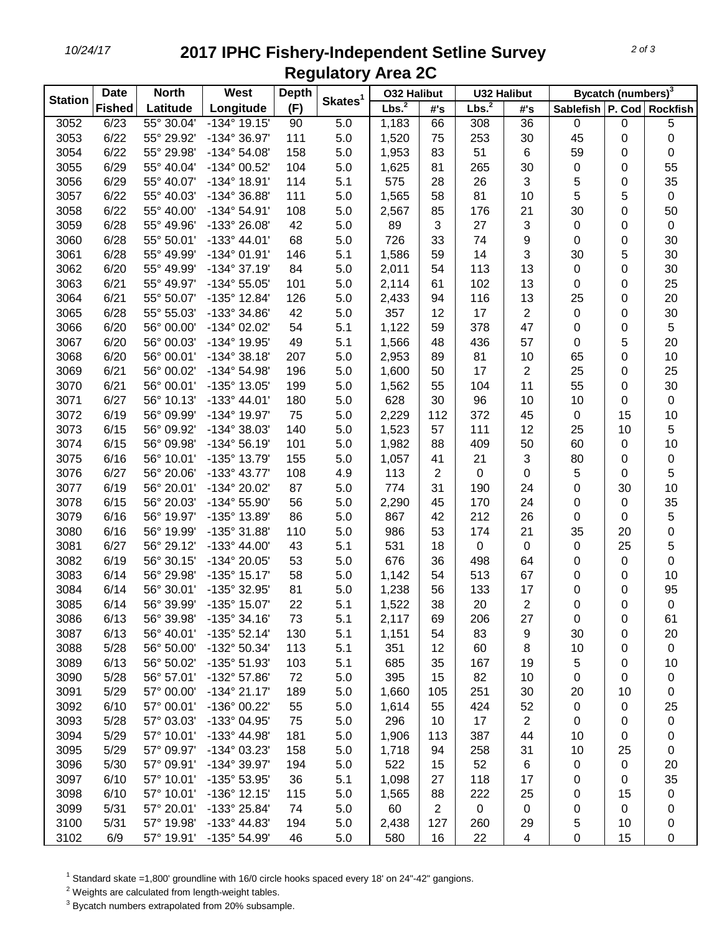## *10/24/17* **2017 IPHC Fishery-Independent Setline Survey Regulatory Area 2C**

| <b>Station</b> | <b>Date</b>   | <b>North</b> | West                  | <b>Depth</b> |                     | <b>032 Halibut</b> |                | <b>U32 Halibut</b> |                | Bycatch (numbers) <sup>3</sup> |    |             |
|----------------|---------------|--------------|-----------------------|--------------|---------------------|--------------------|----------------|--------------------|----------------|--------------------------------|----|-------------|
|                | <b>Fished</b> | Latitude     | Longitude             | (F)          | Skates <sup>1</sup> | Lbs. <sup>2</sup>  | #'s            | Lbs. <sup>2</sup>  | #'s            | Sablefish   P. Cod   Rockfish  |    |             |
| 3052           | 6/23          | 55° 30.04'   | $-134^{\circ}$ 19.15' | 90           | 5.0                 | 1,183              | 66             | 308                | 36             | 0                              | 0  | 5           |
| 3053           | 6/22          | 55° 29.92'   | -134° 36.97'          | 111          | 5.0                 | 1,520              | 75             | 253                | 30             | 45                             | 0  | 0           |
| 3054           | 6/22          | 55° 29.98'   | $-134^{\circ} 54.08'$ | 158          | 5.0                 | 1,953              | 83             | 51                 | 6              | 59                             | 0  | 0           |
| 3055           | 6/29          | 55° 40.04'   | -134° 00.52'          | 104          | 5.0                 | 1,625              | 81             | 265                | 30             | 0                              | 0  | 55          |
| 3056           | 6/29          | 55° 40.07'   | -134° 18.91'          | 114          | 5.1                 | 575                | 28             | 26                 | 3              | 5                              | 0  | 35          |
| 3057           | 6/22          | 55° 40.03'   | -134° 36.88'          | 111          | 5.0                 | 1,565              | 58             | 81                 | 10             | 5                              | 5  | $\pmb{0}$   |
| 3058           | 6/22          | 55° 40.00'   | -134° 54.91'          | 108          | 5.0                 | 2,567              | 85             | 176                | 21             | 30                             | 0  | 50          |
| 3059           | 6/28          | 55° 49.96'   | -133° 26.08'          | 42           | 5.0                 | 89                 | 3              | 27                 | 3              | 0                              | 0  | 0           |
| 3060           | 6/28          | 55° 50.01'   | $-133^{\circ}$ 44.01' | 68           | 5.0                 | 726                | 33             | 74                 | 9              | 0                              | 0  | 30          |
| 3061           | 6/28          | 55° 49.99'   | $-134^{\circ}$ 01.91' | 146          | 5.1                 | 1,586              | 59             | 14                 | 3              | 30                             | 5  | 30          |
| 3062           | 6/20          | 55° 49.99'   | $-134^{\circ}37.19'$  | 84           | 5.0                 | 2,011              | 54             | 113                | 13             | $\pmb{0}$                      | 0  | 30          |
| 3063           | 6/21          | 55° 49.97'   | -134° 55.05'          | 101          | 5.0                 | 2,114              | 61             | 102                | 13             | 0                              | 0  | 25          |
| 3064           | 6/21          | 55° 50.07'   | -135° 12.84'          | 126          | 5.0                 | 2,433              | 94             | 116                | 13             | 25                             | 0  | 20          |
| 3065           | 6/28          | 55° 55.03'   | -133° 34.86'          | 42           | 5.0                 | 357                | 12             | 17                 | $\overline{2}$ | $\pmb{0}$                      | 0  | 30          |
| 3066           | 6/20          | 56° 00.00'   | -134° 02.02'          | 54           | 5.1                 | 1,122              | 59             | 378                | 47             | 0                              | 0  | 5           |
| 3067           | 6/20          | 56° 00.03'   | -134° 19.95'          | 49           | 5.1                 | 1,566              | 48             | 436                | 57             | 0                              | 5  | 20          |
| 3068           | 6/20          | 56° 00.01'   | $-134^{\circ}38.18'$  | 207          | 5.0                 | 2,953              | 89             | 81                 | 10             | 65                             | 0  | 10          |
| 3069           | 6/21          | 56° 00.02'   | -134° 54.98'          | 196          | 5.0                 | 1,600              | 50             | 17                 | 2              | 25                             | 0  | 25          |
| 3070           | 6/21          | 56° 00.01'   | -135° 13.05'          | 199          | 5.0                 | 1,562              | 55             | 104                | 11             | 55                             | 0  | 30          |
| 3071           | 6/27          | 56° 10.13'   | $-133^{\circ}$ 44.01' | 180          | 5.0                 | 628                | 30             | 96                 | 10             | 10                             | 0  | $\pmb{0}$   |
| 3072           | 6/19          | 56° 09.99'   | -134° 19.97'          | 75           | 5.0                 | 2,229              | 112            | 372                | 45             | 0                              | 15 | 10          |
| 3073           | 6/15          | 56° 09.92'   | -134° 38.03'          | 140          | 5.0                 | 1,523              | 57             | 111                | 12             | 25                             | 10 | 5           |
| 3074           | 6/15          | 56° 09.98'   | $-134^{\circ}56.19'$  | 101          | 5.0                 | 1,982              | 88             | 409                | 50             | 60                             | 0  | 10          |
| 3075           | 6/16          | 56° 10.01'   | -135° 13.79'          | 155          | 5.0                 | 1,057              | 41             | 21                 | 3              | 80                             | 0  | $\mathbf 0$ |
| 3076           | 6/27          | 56° 20.06'   | -133° 43.77'          | 108          | 4.9                 | 113                | $\overline{2}$ | 0                  | 0              | 5                              | 0  | 5           |
| 3077           | 6/19          | 56° 20.01'   | -134° 20.02'          | 87           | 5.0                 | 774                | 31             | 190                | 24             | 0                              | 30 | 10          |
| 3078           | 6/15          | 56° 20.03'   | -134° 55.90'          | 56           | 5.0                 | 2,290              | 45             | 170                | 24             | 0                              | 0  | 35          |
| 3079           | 6/16          | 56° 19.97'   | -135° 13.89'          | 86           | 5.0                 | 867                | 42             | 212                | 26             | 0                              | 0  | 5           |
| 3080           | 6/16          | 56° 19.99'   | -135° 31.88'          | 110          | 5.0                 | 986                | 53             | 174                | 21             | 35                             | 20 | $\mathbf 0$ |
| 3081           | 6/27          | 56° 29.12'   | $-133^{\circ}$ 44.00' | 43           | 5.1                 | 531                | 18             | 0                  | 0              | 0                              | 25 | 5           |
| 3082           | 6/19          | 56° 30.15'   | -134° 20.05'          | 53           | 5.0                 | 676                | 36             | 498                | 64             | 0                              | 0  | $\pmb{0}$   |
| 3083           | 6/14          | 56° 29.98'   | $-135°$ 15.17'        | 58           | 5.0                 | 1,142              | 54             | 513                | 67             | 0                              | 0  | 10          |
| 3084           | 6/14          | 56° 30.01'   | -135° 32.95'          | 81           | 5.0                 | 1,238              | 56             | 133                | 17             | 0                              | 0  | 95          |
| 3085           | 6/14          | 56° 39.99'   | -135° 15.07'          | 22           | 5.1                 | 1,522              | 38             | 20                 | 2              | 0                              | 0  | $\pmb{0}$   |
| 3086           | 6/13          | 56° 39.98'   | -135° 34.16'          | 73           | 5.1                 | 2,117              | 69             | 206                | 27             | 0                              | 0  | 61          |
| 3087           | 6/13          | 56° 40.01'   | $-135^{\circ}$ 52.14' | 130          | 5.1                 | 1,151              | 54             | 83                 | 9              | 30                             | 0  | 20          |
| 3088           | 5/28          | 56° 50.00'   | -132° 50.34'          | 113          | 5.1                 | 351                | 12             | 60                 | 8              | 10                             | 0  | 0           |
| 3089           | 6/13          | 56° 50.02'   | -135° 51.93'          | 103          | 5.1                 | 685                | 35             | 167                | 19             | 5                              | 0  | 10          |
| 3090           | 5/28          | 56° 57.01'   | -132° 57.86'          | 72           | 5.0                 | 395                | 15             | 82                 | 10             | 0                              | 0  | 0           |
| 3091           | 5/29          | 57° 00.00'   | $-134^{\circ} 21.17'$ | 189          | 5.0                 | 1,660              | 105            | 251                | 30             | 20                             | 10 | 0           |
| 3092           | 6/10          | 57° 00.01'   | $-136^{\circ}$ 00.22' | 55           | 5.0                 | 1,614              | 55             | 424                | 52             | 0                              | 0  | 25          |
| 3093           | 5/28          | 57° 03.03'   | -133° 04.95'          | 75           | 5.0                 | 296                | 10             | 17                 | $\overline{2}$ | 0                              | 0  | 0           |
| 3094           | 5/29          | 57° 10.01'   | -133° 44.98'          | 181          | 5.0                 | 1,906              | 113            | 387                | 44             | 10                             | 0  | 0           |
| 3095           | 5/29          | 57° 09.97'   | -134° 03.23'          | 158          | 5.0                 | 1,718              | 94             | 258                | 31             | 10                             | 25 | 0           |
| 3096           | 5/30          | 57° 09.91'   | -134° 39.97'          | 194          | 5.0                 | 522                | 15             | 52                 | 6              | 0                              | 0  | 20          |
| 3097           | 6/10          | 57° 10.01'   | -135° 53.95'          | 36           | 5.1                 | 1,098              | 27             | 118                | 17             | 0                              | 0  | 35          |
| 3098           | 6/10          | 57° 10.01'   | $-136°$ 12.15'        | 115          | 5.0                 | 1,565              | 88             | 222                | 25             | 0                              | 15 | 0           |
| 3099           | 5/31          | 57° 20.01'   | -133° 25.84'          | 74           | 5.0                 | 60                 | 2              | 0                  | 0              | 0                              | 0  | 0           |
| 3100           | 5/31          | 57° 19.98'   | -133° 44.83'          | 194          | 5.0                 | 2,438              | 127            | 260                | 29             | 5                              | 10 | 0           |
| 3102           | 6/9           | 57° 19.91'   | -135° 54.99'          | 46           | 5.0                 | 580                | 16             | 22                 | 4              | 0                              | 15 | 0           |

<sup>1</sup> Standard skate =1,800' groundline with 16/0 circle hooks spaced every 18' on 24"-42" gangions.

Weights are calculated from length-weight tables.

Bycatch numbers extrapolated from 20% subsample.